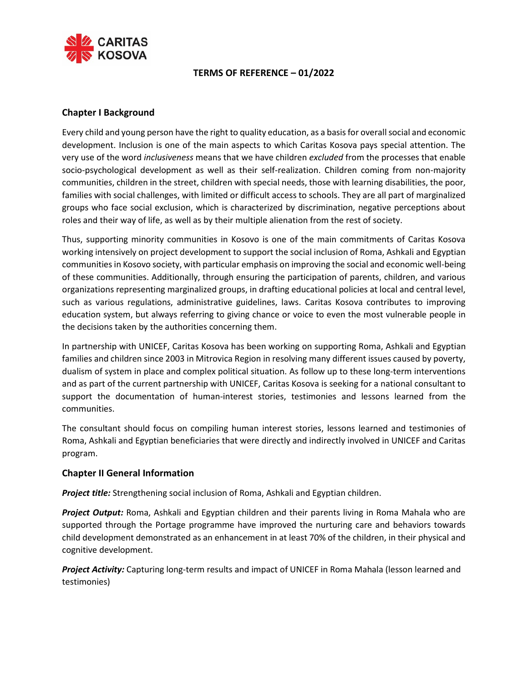

# **TERMS OF REFERENCE – 01/2022**

# **Chapter I Background**

Every child and young person have the right to quality education, as a basis for overall social and economic development. Inclusion is one of the main aspects to which Caritas Kosova pays special attention. The very use of the word *inclusiveness* means that we have children *excluded* from the processes that enable socio-psychological development as well as their self-realization. Children coming from non-majority communities, children in the street, children with special needs, those with learning disabilities, the poor, families with social challenges, with limited or difficult access to schools. They are all part of marginalized groups who face social exclusion, which is characterized by discrimination, negative perceptions about roles and their way of life, as well as by their multiple alienation from the rest of society.

Thus, supporting minority communities in Kosovo is one of the main commitments of Caritas Kosova working intensively on project development to support the social inclusion of Roma, Ashkali and Egyptian communities in Kosovo society, with particular emphasis on improving the social and economic well-being of these communities. Additionally, through ensuring the participation of parents, children, and various organizations representing marginalized groups, in drafting educational policies at local and central level, such as various regulations, administrative guidelines, laws. Caritas Kosova contributes to improving education system, but always referring to giving chance or voice to even the most vulnerable people in the decisions taken by the authorities concerning them.

In partnership with UNICEF, Caritas Kosova has been working on supporting Roma, Ashkali and Egyptian families and children since 2003 in Mitrovica Region in resolving many different issues caused by poverty, dualism of system in place and complex political situation. As follow up to these long-term interventions and as part of the current partnership with UNICEF, Caritas Kosova is seeking for a national consultant to support the documentation of human-interest stories, testimonies and lessons learned from the communities.

The consultant should focus on compiling human interest stories, lessons learned and testimonies of Roma, Ashkali and Egyptian beneficiaries that were directly and indirectly involved in UNICEF and Caritas program.

### **Chapter II General Information**

*Project title:* Strengthening social inclusion of Roma, Ashkali and Egyptian children.

*Project Output:* Roma, Ashkali and Egyptian children and their parents living in Roma Mahala who are supported through the Portage programme have improved the nurturing care and behaviors towards child development demonstrated as an enhancement in at least 70% of the children, in their physical and cognitive development.

*Project Activity:* Capturing long-term results and impact of UNICEF in Roma Mahala (lesson learned and testimonies)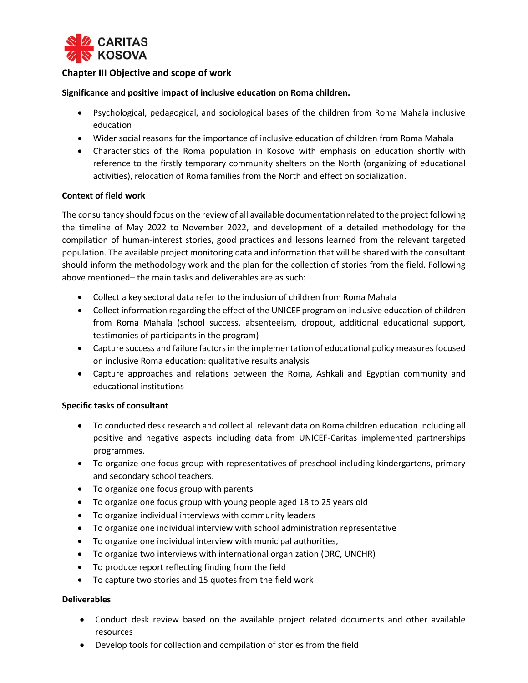

# **Chapter III Objective and scope of work**

#### **Significance and positive impact of inclusive education on Roma children.**

- Psychological, pedagogical, and sociological bases of the children from Roma Mahala inclusive education
- Wider social reasons for the importance of inclusive education of children from Roma Mahala
- Characteristics of the Roma population in Kosovo with emphasis on education shortly with reference to the firstly temporary community shelters on the North (organizing of educational activities), relocation of Roma families from the North and effect on socialization.

#### **Context of field work**

The consultancy should focus on the review of all available documentation related to the project following the timeline of May 2022 to November 2022, and development of a detailed methodology for the compilation of human-interest stories, good practices and lessons learned from the relevant targeted population. The available project monitoring data and information that will be shared with the consultant should inform the methodology work and the plan for the collection of stories from the field. Following above mentioned– the main tasks and deliverables are as such:

- Collect a key sectoral data refer to the inclusion of children from Roma Mahala
- Collect information regarding the effect of the UNICEF program on inclusive education of children from Roma Mahala (school success, absenteeism, dropout, additional educational support, testimonies of participants in the program)
- Capture success and failure factors in the implementation of educational policy measures focused on inclusive Roma education: qualitative results analysis
- Capture approaches and relations between the Roma, Ashkali and Egyptian community and educational institutions

### **Specific tasks of consultant**

- To conducted desk research and collect all relevant data on Roma children education including all positive and negative aspects including data from UNICEF-Caritas implemented partnerships programmes.
- To organize one focus group with representatives of preschool including kindergartens, primary and secondary school teachers.
- To organize one focus group with parents
- To organize one focus group with young people aged 18 to 25 years old
- To organize individual interviews with community leaders
- To organize one individual interview with school administration representative
- To organize one individual interview with municipal authorities,
- To organize two interviews with international organization (DRC, UNCHR)
- To produce report reflecting finding from the field
- To capture two stories and 15 quotes from the field work

### **Deliverables**

- Conduct desk review based on the available project related documents and other available resources
- Develop tools for collection and compilation of stories from the field